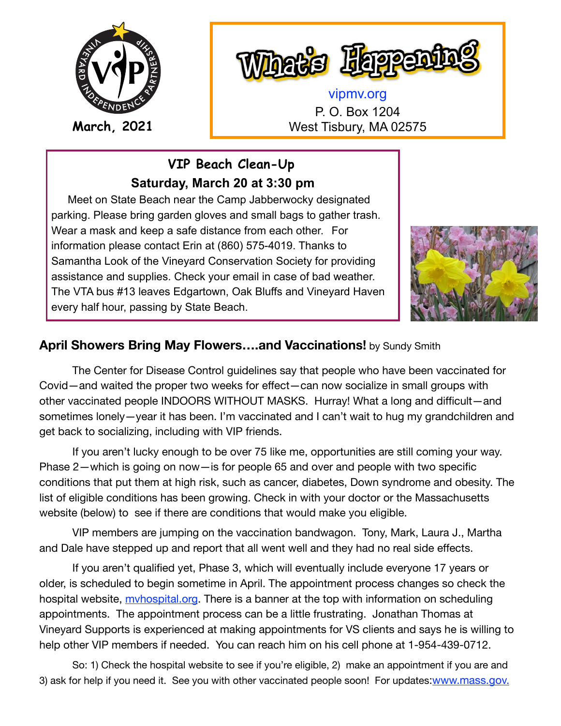

Dets Happ

[vipmv.org](http://vipmv.org) P. O. Box 1204 **March, 2021** West Tisbury, MA 02575

> **VIP Beach Clean-Up Saturday, March 20 at 3:30 pm**

 Meet on State Beach near the Camp Jabberwocky designated parking. Please bring garden gloves and small bags to gather trash. Wear a mask and keep a safe distance from each other. For information please contact Erin at (860) 575-4019. Thanks to Samantha Look of the Vineyard Conservation Society for providing assistance and supplies. Check your email in case of bad weather. The VTA bus #13 leaves Edgartown, Oak Bluffs and Vineyard Haven every half hour, passing by State Beach.



## **April Showers Bring May Flowers….and Vaccinations!** by Sundy Smith

The Center for Disease Control guidelines say that people who have been vaccinated for Covid—and waited the proper two weeks for effect—can now socialize in small groups with other vaccinated people INDOORS WITHOUT MASKS. Hurray! What a long and difficult—and sometimes lonely—year it has been. I'm vaccinated and I can't wait to hug my grandchildren and get back to socializing, including with VIP friends.

If you aren't lucky enough to be over 75 like me, opportunities are still coming your way. Phase 2—which is going on now—is for people 65 and over and people with two specific conditions that put them at high risk, such as cancer, diabetes, Down syndrome and obesity. The list of eligible conditions has been growing. Check in with your doctor or the Massachusetts website (below) to see if there are conditions that would make you eligible.

VIP members are jumping on the vaccination bandwagon. Tony, Mark, Laura J., Martha and Dale have stepped up and report that all went well and they had no real side effects.

If you aren't qualified yet, Phase 3, which will eventually include everyone 17 years or older, is scheduled to begin sometime in April. The appointment process changes so check the hospital website, myhospital.org. There is a banner at the top with information on scheduling appointments. The appointment process can be a little frustrating. Jonathan Thomas at Vineyard Supports is experienced at making appointments for VS clients and says he is willing to help other VIP members if needed. You can reach him on his cell phone at 1-954-439-0712.

So: 1) Check the hospital website to see if you're eligible, 2) make an appointment if you are and 3) ask for help if you need it. See you with other vaccinated people soon! For updates: www.mass.gov.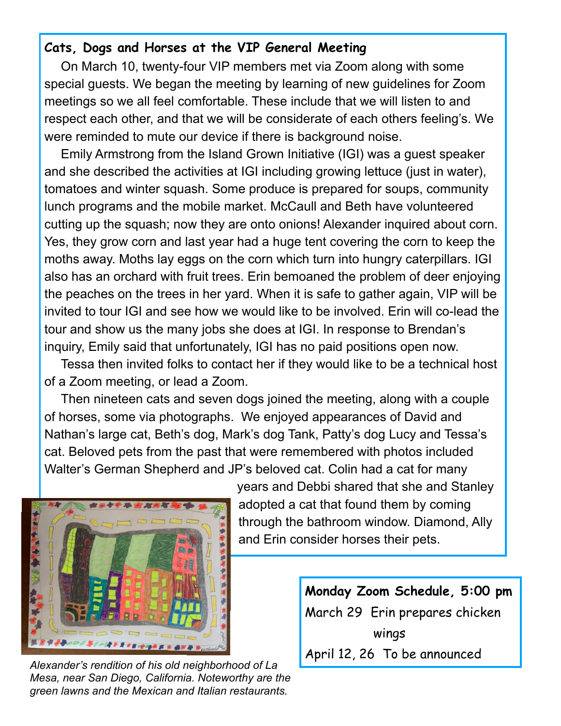## **Cats, Dogs and Horses at the VIP General Meeting**

 On March 10, twenty-four VIP members met via Zoom along with some special guests. We began the meeting by learning of new guidelines for Zoom meetings so we all feel comfortable. These include that we will listen to and respect each other, and that we will be considerate of each others feeling's. We were reminded to mute our device if there is background noise.

 Emily Armstrong from the Island Grown Initiative (IGI) was a guest speaker and she described the activities at IGI including growing lettuce (just in water), tomatoes and winter squash. Some produce is prepared for soups, community lunch programs and the mobile market. McCaull and Beth have volunteered cutting up the squash; now they are onto onions! Alexander inquired about corn. Yes, they grow corn and last year had a huge tent covering the corn to keep the moths away. Moths lay eggs on the corn which turn into hungry caterpillars. IGI also has an orchard with fruit trees. Erin bemoaned the problem of deer enjoying the peaches on the trees in her yard. When it is safe to gather again, VIP will be invited to tour IGI and see how we would like to be involved. Erin will co-lead the tour and show us the many jobs she does at IGI. In response to Brendan's inquiry, Emily said that unfortunately, IGI has no paid positions open now.

 Tessa then invited folks to contact her if they would like to be a technical host of a Zoom meeting, or lead a Zoom.

 Then nineteen cats and seven dogs joined the meeting, along with a couple of horses, some via photographs. We enjoyed appearances of David and Nathan's large cat, Beth's dog, Mark's dog Tank, Patty's dog Lucy and Tessa's cat. Beloved pets from the past that were remembered with photos included Walter's German Shepherd and JP's beloved cat. Colin had a cat for many



years and Debbi shared that she and Stanley adopted a cat that found them by coming through the bathroom window. Diamond, Ally and Erin consider horses their pets.

**Monday Zoom Schedule, 5:00 pm**  March 29 Erin prepares chicken wings April 12, 26 To be announced *Alexander's rendition of his old neighborhood of La* 

*Mesa, near San Diego, California. Noteworthy are the green lawns and the Mexican and Italian restaurants.*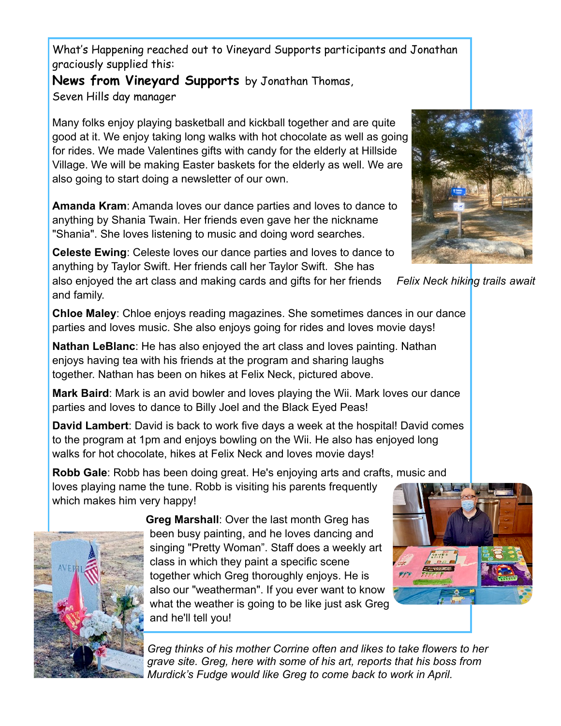What's Happening reached out to Vineyard Supports participants and Jonathan graciously supplied this:

**News from Vineyard Supports** by Jonathan Thomas, Seven Hills day manager

Many folks enjoy playing basketball and kickball together and are quite good at it. We enjoy taking long walks with hot chocolate as well as going for rides. We made Valentines gifts with candy for the elderly at Hillside Village. We will be making Easter baskets for the elderly as well. We are also going to start doing a newsletter of our own.

**Amanda Kram**: Amanda loves our dance parties and loves to dance to anything by Shania Twain. Her friends even gave her the nickname "Shania". She loves listening to music and doing word searches.

**Celeste Ewing**: Celeste loves our dance parties and loves to dance to anything by Taylor Swift. Her friends call her Taylor Swift. She has

also enjoyed the art class and making cards and gifts for her friends and family.

**Chloe Maley**: Chloe enjoys reading magazines. She sometimes dances in our dance parties and loves music. She also enjoys going for rides and loves movie days!

**Nathan LeBlanc**: He has also enjoyed the art class and loves painting. Nathan enjoys having tea with his friends at the program and sharing laughs together. Nathan has been on hikes at Felix Neck, pictured above.

**Mark Baird**: Mark is an avid bowler and loves playing the Wii. Mark loves our dance parties and loves to dance to Billy Joel and the Black Eyed Peas!

**David Lambert**: David is back to work five days a week at the hospital! David comes to the program at 1pm and enjoys bowling on the Wii. He also has enjoyed long walks for hot chocolate, hikes at Felix Neck and loves movie days!

**Robb Gale**: Robb has been doing great. He's enjoying arts and crafts, music and loves playing name the tune. Robb is visiting his parents frequently which makes him very happy!



**Greg Marshall**: Over the last month Greg has been busy painting, and he loves dancing and singing "Pretty Woman". Staff does a weekly art class in which they paint a specific scene together which Greg thoroughly enjoys. He is also our "weatherman". If you ever want to know what the weather is going to be like just ask Greg and he'll tell you!

*Greg thinks of his mother Corrine often and likes to take flowers to her grave site. Greg, here with some of his art, reports that his boss from Murdick's Fudge would like Greg to come back to work in April.*



*Felix Neck hiking trails await*